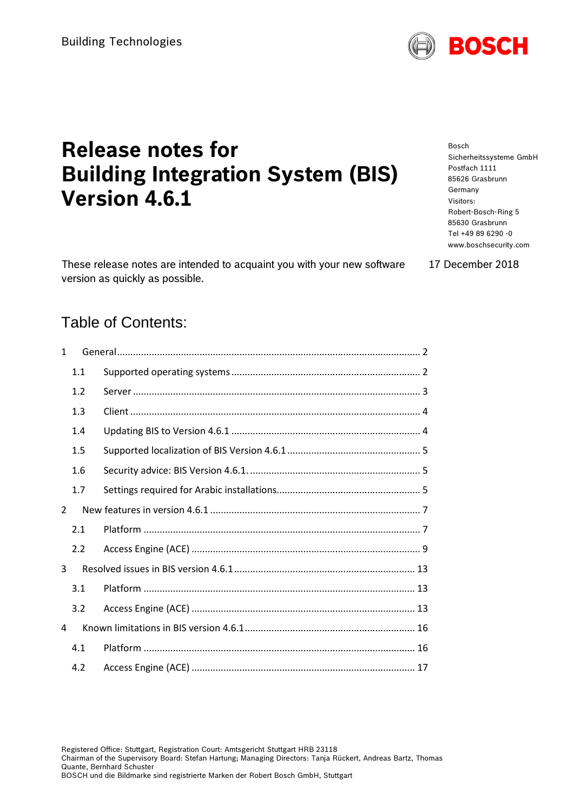# **Release notes for Building Integration System (BIS) Version 4.6.1**

These release notes are intended to acquaint you with your new software version as quickly as possible.

#### Bosch Sicherheitssysteme GmbH Postfach 1111 85626 Grasbrunn Germany Visitors: Robert-Bosch-Ring 5 85630 Grasbrunn Tel +49 89 6290 -0 www.boschsecurity.com

17 December 2018

# Table of Contents:

| 1 |     |  |  |  |
|---|-----|--|--|--|
|   | 1.1 |  |  |  |
|   | 1.2 |  |  |  |
|   | 1.3 |  |  |  |
|   | 1.4 |  |  |  |
|   | 1.5 |  |  |  |
|   | 1.6 |  |  |  |
|   | 1.7 |  |  |  |
| 2 |     |  |  |  |
|   | 2.1 |  |  |  |
|   | 2.2 |  |  |  |
| 3 |     |  |  |  |
|   | 3.1 |  |  |  |
|   | 3.2 |  |  |  |
| 4 |     |  |  |  |
|   | 4.1 |  |  |  |
|   | 4.2 |  |  |  |

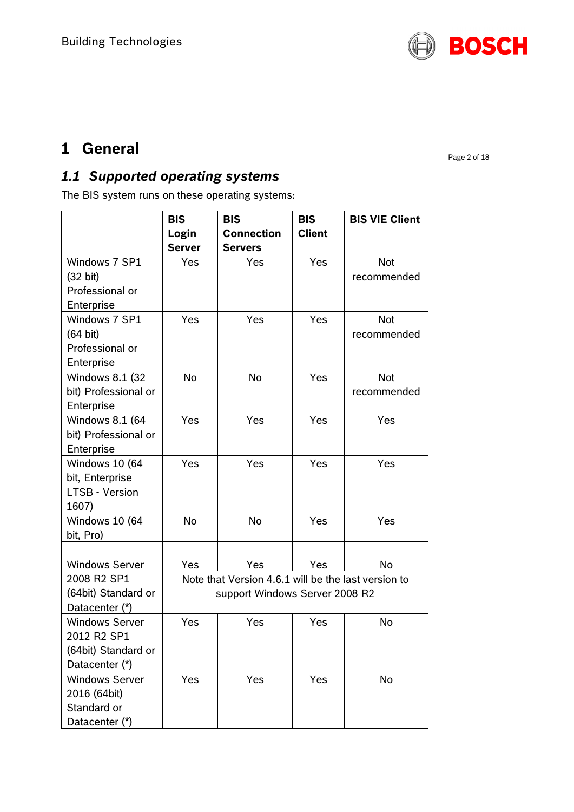

# <span id="page-1-0"></span>**1 General**

Page 2 of 18

# <span id="page-1-1"></span>*1.1 Supported operating systems*

The BIS system runs on these operating systems:

|                                   | <b>BIS</b>                                          | <b>BIS</b>                          | <b>BIS</b>    | <b>BIS VIE Client</b> |  |
|-----------------------------------|-----------------------------------------------------|-------------------------------------|---------------|-----------------------|--|
|                                   | Login<br><b>Server</b>                              | <b>Connection</b><br><b>Servers</b> | <b>Client</b> |                       |  |
| Windows 7 SP1                     | Yes                                                 | Yes                                 | <b>Yes</b>    | <b>Not</b>            |  |
| $(32 \text{ bit})$                |                                                     |                                     |               | recommended           |  |
| Professional or                   |                                                     |                                     |               |                       |  |
| Enterprise                        |                                                     |                                     |               |                       |  |
| Windows 7 SP1                     | Yes                                                 | Yes                                 | Yes           | <b>Not</b>            |  |
| $(64 \text{ bit})$                |                                                     |                                     |               | recommended           |  |
| Professional or                   |                                                     |                                     |               |                       |  |
| Enterprise                        |                                                     |                                     |               |                       |  |
| Windows 8.1 (32)                  | <b>No</b>                                           | No                                  | Yes           | <b>Not</b>            |  |
| bit) Professional or              |                                                     |                                     |               | recommended           |  |
| Enterprise                        |                                                     |                                     |               |                       |  |
| Windows 8.1 (64                   | Yes                                                 | Yes                                 | Yes           | Yes                   |  |
| bit) Professional or              |                                                     |                                     |               |                       |  |
| Enterprise                        |                                                     |                                     |               |                       |  |
| Windows 10 (64                    | Yes                                                 | Yes                                 | Yes           | Yes                   |  |
| bit, Enterprise<br>LTSB - Version |                                                     |                                     |               |                       |  |
| 1607)                             |                                                     |                                     |               |                       |  |
| Windows 10 (64                    | <b>No</b>                                           | <b>No</b>                           | Yes           | Yes                   |  |
| bit, Pro)                         |                                                     |                                     |               |                       |  |
|                                   |                                                     |                                     |               |                       |  |
| <b>Windows Server</b>             | Yes                                                 | Yes                                 | Yes           | No                    |  |
| 2008 R2 SP1                       | Note that Version 4.6.1 will be the last version to |                                     |               |                       |  |
| (64bit) Standard or               | support Windows Server 2008 R2                      |                                     |               |                       |  |
| Datacenter (*)                    |                                                     |                                     |               |                       |  |
| <b>Windows Server</b>             | Yes                                                 | Yes                                 | Yes           | No                    |  |
| 2012 R2 SP1                       |                                                     |                                     |               |                       |  |
| (64bit) Standard or               |                                                     |                                     |               |                       |  |
| Datacenter (*)                    |                                                     |                                     |               |                       |  |
| <b>Windows Server</b>             | Yes                                                 | Yes                                 | Yes           | No                    |  |
| 2016 (64bit)                      |                                                     |                                     |               |                       |  |
| Standard or                       |                                                     |                                     |               |                       |  |
| Datacenter (*)                    |                                                     |                                     |               |                       |  |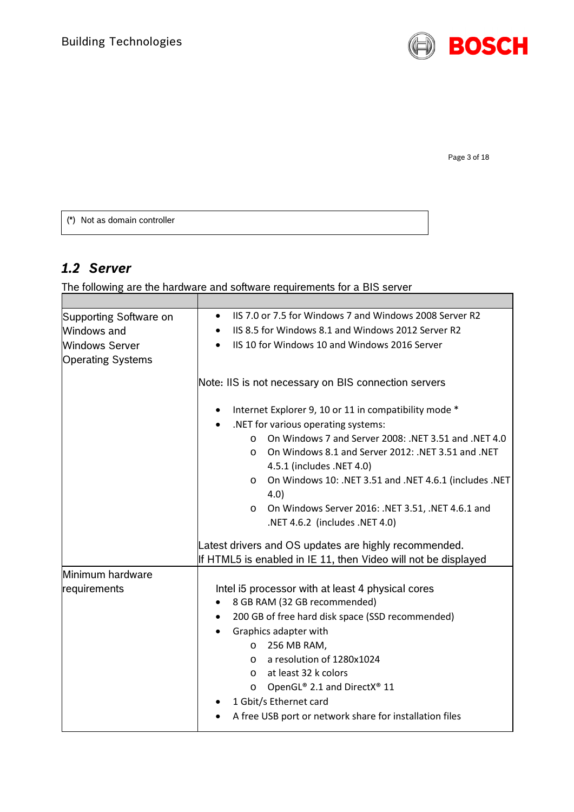

Page 3 of 18

(\*) Not as domain controller

# <span id="page-2-0"></span>*1.2 Server*

The following are the hardware and software requirements for a BIS server

| Supporting Software on   | IIS 7.0 or 7.5 for Windows 7 and Windows 2008 Server R2<br>$\bullet$                        |  |  |  |
|--------------------------|---------------------------------------------------------------------------------------------|--|--|--|
| Windows and              | IIS 8.5 for Windows 8.1 and Windows 2012 Server R2<br>$\bullet$                             |  |  |  |
| <b>Windows Server</b>    | IIS 10 for Windows 10 and Windows 2016 Server<br>$\bullet$                                  |  |  |  |
| <b>Operating Systems</b> |                                                                                             |  |  |  |
|                          |                                                                                             |  |  |  |
|                          | Note: IIS is not necessary on BIS connection servers                                        |  |  |  |
|                          | Internet Explorer 9, 10 or 11 in compatibility mode *                                       |  |  |  |
|                          | .NET for various operating systems:                                                         |  |  |  |
|                          | On Windows 7 and Server 2008: .NET 3.51 and .NET 4.0<br>$\circ$                             |  |  |  |
|                          | On Windows 8.1 and Server 2012: .NET 3.51 and .NET<br>$\Omega$<br>4.5.1 (includes .NET 4.0) |  |  |  |
|                          | On Windows 10: .NET 3.51 and .NET 4.6.1 (includes .NET<br>$\circ$                           |  |  |  |
|                          | 4.0)                                                                                        |  |  |  |
|                          | O On Windows Server 2016: .NET 3.51, .NET 4.6.1 and                                         |  |  |  |
|                          | .NET 4.6.2 (includes .NET 4.0)                                                              |  |  |  |
|                          | Latest drivers and OS updates are highly recommended.                                       |  |  |  |
|                          | If HTML5 is enabled in IE 11, then Video will not be displayed                              |  |  |  |
| Minimum hardware         |                                                                                             |  |  |  |
| requirements             | Intel i5 processor with at least 4 physical cores                                           |  |  |  |
|                          | 8 GB RAM (32 GB recommended)                                                                |  |  |  |
|                          | 200 GB of free hard disk space (SSD recommended)                                            |  |  |  |
|                          | Graphics adapter with                                                                       |  |  |  |
|                          | 256 MB RAM,<br>$\circ$                                                                      |  |  |  |
|                          | a resolution of 1280x1024<br>$\circ$                                                        |  |  |  |
|                          | at least 32 k colors<br>$\circ$                                                             |  |  |  |
|                          | OpenGL® 2.1 and DirectX® 11<br>$\circ$                                                      |  |  |  |
|                          | 1 Gbit/s Ethernet card                                                                      |  |  |  |
|                          | A free USB port or network share for installation files                                     |  |  |  |
|                          |                                                                                             |  |  |  |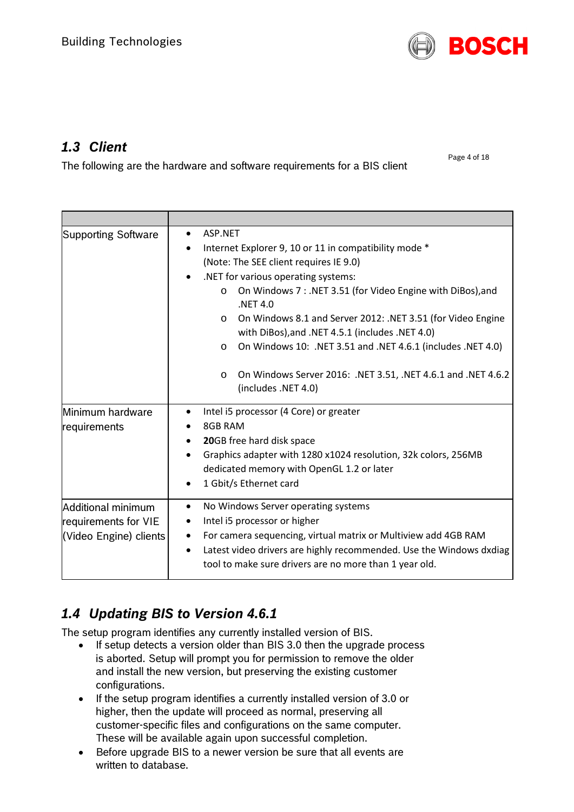

# <span id="page-3-0"></span>*1.3 Client*

The following are the hardware and software requirements for a BIS client

Page 4 of 18

| Supporting Software                                                  | ASP.NET<br>$\bullet$<br>Internet Explorer 9, 10 or 11 in compatibility mode *<br>(Note: The SEE client requires IE 9.0)<br>.NET for various operating systems:<br>On Windows 7: .NET 3.51 (for Video Engine with DiBos), and<br>$\circ$<br>.NET 4.0<br>On Windows 8.1 and Server 2012: .NET 3.51 (for Video Engine<br>$\circ$<br>with DiBos), and .NET 4.5.1 (includes .NET 4.0)<br>On Windows 10: .NET 3.51 and .NET 4.6.1 (includes .NET 4.0)<br>O<br>On Windows Server 2016: .NET 3.51, .NET 4.6.1 and .NET 4.6.2<br>$\circ$<br>(includes .NET 4.0) |  |  |
|----------------------------------------------------------------------|--------------------------------------------------------------------------------------------------------------------------------------------------------------------------------------------------------------------------------------------------------------------------------------------------------------------------------------------------------------------------------------------------------------------------------------------------------------------------------------------------------------------------------------------------------|--|--|
| Minimum hardware<br>requirements                                     | Intel i5 processor (4 Core) or greater<br>٠<br>8GB RAM<br>20GB free hard disk space<br>٠<br>Graphics adapter with 1280 x1024 resolution, 32k colors, 256MB<br>dedicated memory with OpenGL 1.2 or later<br>1 Gbit/s Ethernet card                                                                                                                                                                                                                                                                                                                      |  |  |
| Additional minimum<br>requirements for VIE<br>(Video Engine) clients | No Windows Server operating systems<br>٠<br>Intel i5 processor or higher<br>٠<br>For camera sequencing, virtual matrix or Multiview add 4GB RAM<br>Latest video drivers are highly recommended. Use the Windows dxdiag<br>٠<br>tool to make sure drivers are no more than 1 year old.                                                                                                                                                                                                                                                                  |  |  |

# <span id="page-3-1"></span>*1.4 Updating BIS to Version 4.6.1*

The setup program identifies any currently installed version of BIS.

- If setup detects a version older than BIS 3.0 then the upgrade process is aborted. Setup will prompt you for permission to remove the older and install the new version, but preserving the existing customer configurations.
- If the setup program identifies a currently installed version of 3.0 or higher, then the update will proceed as normal, preserving all customer-specific files and configurations on the same computer. These will be available again upon successful completion.
- Before upgrade BIS to a newer version be sure that all events are written to database.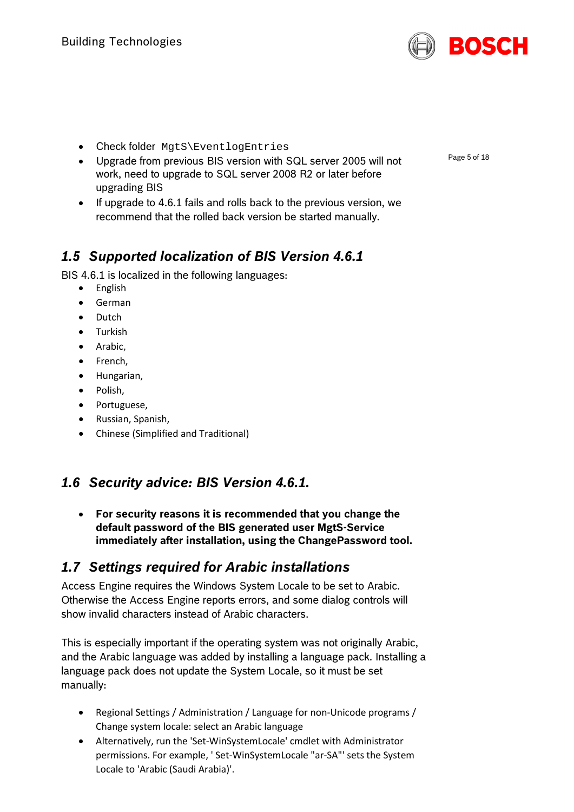

- Check folder MgtS\EventlogEntries
- Upgrade from previous BIS version with SQL server 2005 will not work, need to upgrade to SQL server 2008 R2 or later before upgrading BIS
- If upgrade to 4.6.1 fails and rolls back to the previous version, we recommend that the rolled back version be started manually.

# <span id="page-4-0"></span>*1.5 Supported localization of BIS Version 4.6.1*

BIS 4.6.1 is localized in the following languages:

- English
- German
- Dutch
- Turkish
- Arabic,
- French,
- Hungarian,
- Polish,
- Portuguese,
- Russian, Spanish,
- Chinese (Simplified and Traditional)

# <span id="page-4-1"></span>*1.6 Security advice: BIS Version 4.6.1.*

• **For security reasons it is recommended that you change the default password of the BIS generated user MgtS-Service immediately after installation, using the ChangePassword tool.**

# <span id="page-4-2"></span>*1.7 Settings required for Arabic installations*

Access Engine requires the Windows System Locale to be set to Arabic. Otherwise the Access Engine reports errors, and some dialog controls will show invalid characters instead of Arabic characters.

This is especially important if the operating system was not originally Arabic, and the Arabic language was added by installing a language pack. Installing a language pack does not update the System Locale, so it must be set manually:

- Regional Settings / Administration / Language for non-Unicode programs / Change system locale: select an Arabic language
- Alternatively, run the 'Set-WinSystemLocale' cmdlet with Administrator permissions. For example, ' Set-WinSystemLocale "ar-SA"' sets the System Locale to 'Arabic (Saudi Arabia)'.

Page 5 of 18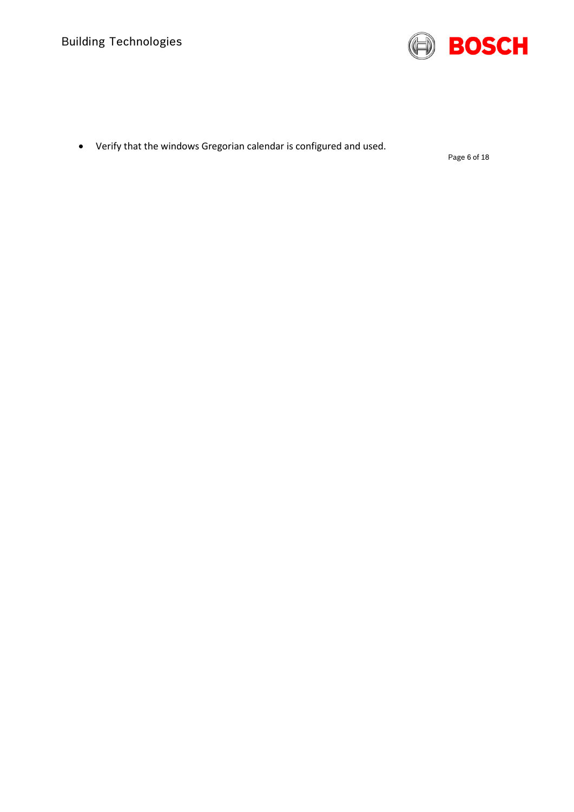

• Verify that the windows Gregorian calendar is configured and used.

Page 6 of 18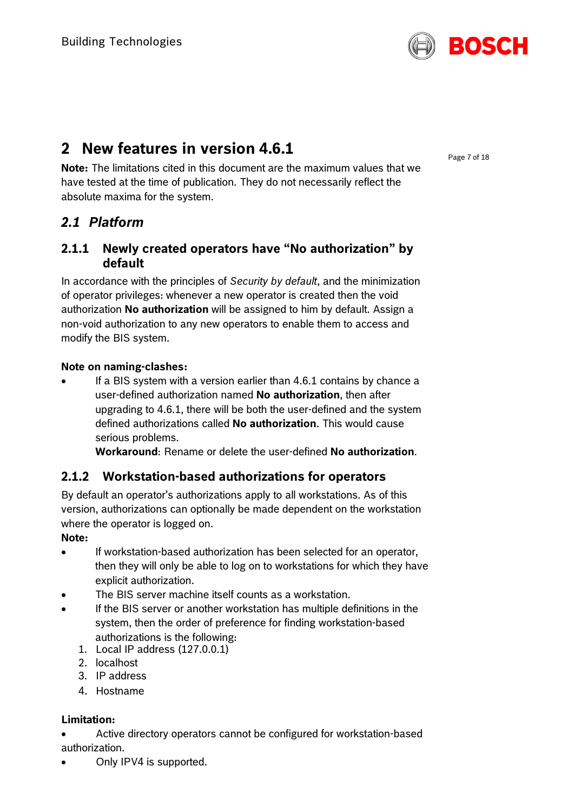

# <span id="page-6-0"></span>**2 New features in version 4.6.1**

**Note:** The limitations cited in this document are the maximum values that we have tested at the time of publication. They do not necessarily reflect the absolute maxima for the system.

# <span id="page-6-1"></span>*2.1 Platform*

## **2.1.1 Newly created operators have "No authorization" by default**

In accordance with the principles of *Security by default*, and the minimization of operator privileges: whenever a new operator is created then the void authorization **No authorization** will be assigned to him by default. Assign a non-void authorization to any new operators to enable them to access and modify the BIS system.

#### **Note on naming-clashes:**

• If a BIS system with a version earlier than 4.6.1 contains by chance a user-defined authorization named **No authorization**, then after upgrading to 4.6.1, there will be both the user-defined and the system defined authorizations called **No authorization**. This would cause serious problems.

**Workaround**: Rename or delete the user-defined **No authorization**.

## **2.1.2 Workstation-based authorizations for operators**

By default an operator's authorizations apply to all workstations. As of this version, authorizations can optionally be made dependent on the workstation where the operator is logged on.

#### **Note:**

- If workstation-based authorization has been selected for an operator, then they will only be able to log on to workstations for which they have explicit authorization.
- The BIS server machine itself counts as a workstation.
- If the BIS server or another workstation has multiple definitions in the system, then the order of preference for finding workstation-based authorizations is the following:
	- 1. Local IP address (127.0.0.1)
	- 2. localhost
	- 3. IP address
	- 4. Hostname

### **Limitation:**

• Active directory operators cannot be configured for workstation-based authorization.

• Only IPV4 is supported.

Page 7 of 18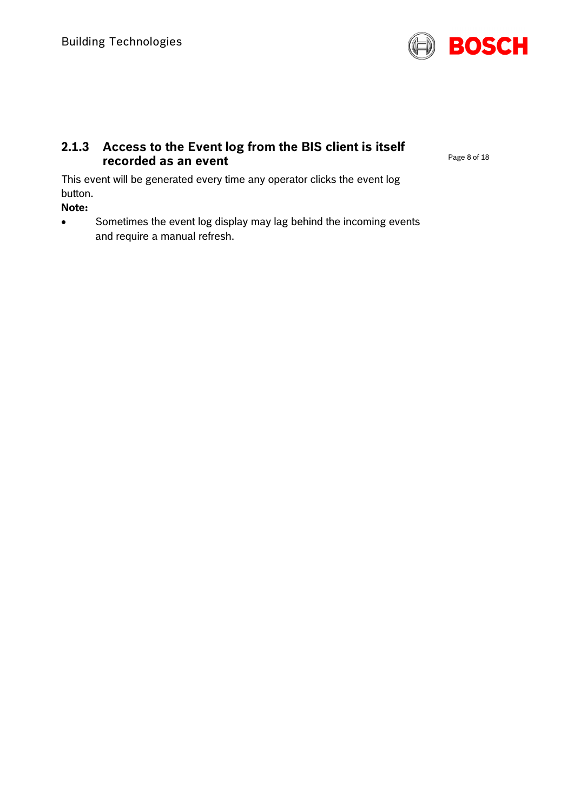

### **2.1.3 Access to the Event log from the BIS client is itself recorded as an event**

Page 8 of 18

This event will be generated every time any operator clicks the event log button.

**Note:**

• Sometimes the event log display may lag behind the incoming events and require a manual refresh.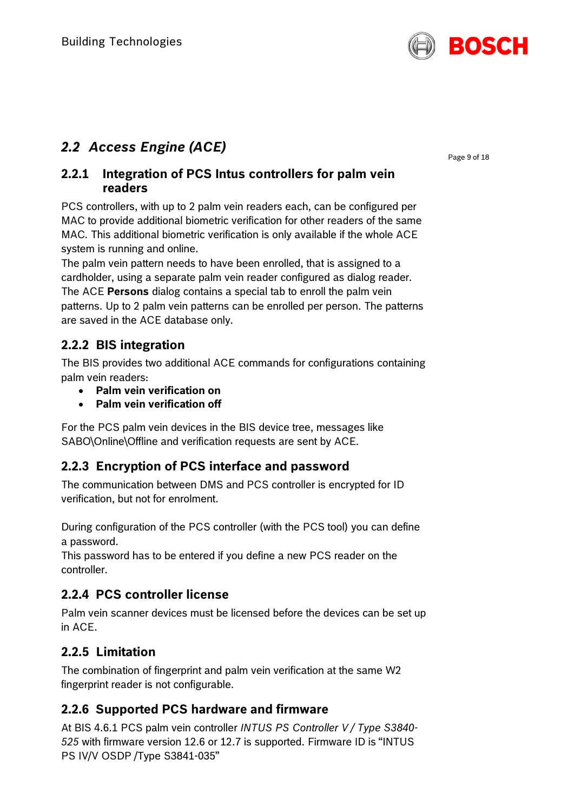

# <span id="page-8-0"></span>*2.2 Access Engine (ACE)*

### **2.2.1 Integration of PCS Intus controllers for palm vein readers**

PCS controllers, with up to 2 palm vein readers each, can be configured per MAC to provide additional biometric verification for other readers of the same MAC. This additional biometric verification is only available if the whole ACE system is running and online.

The palm vein pattern needs to have been enrolled, that is assigned to a cardholder, using a separate palm vein reader configured as dialog reader. The ACE **Persons** dialog contains a special tab to enroll the palm vein patterns. Up to 2 palm vein patterns can be enrolled per person. The patterns

are saved in the ACE database only.

# **2.2.2 BIS integration**

The BIS provides two additional ACE commands for configurations containing palm vein readers:

- **Palm vein verification on**
- **Palm vein verification off**

For the PCS palm vein devices in the BIS device tree, messages like SABO\Online\Offline and verification requests are sent by ACE.

## **2.2.3 Encryption of PCS interface and password**

The communication between DMS and PCS controller is encrypted for ID verification, but not for enrolment.

During configuration of the PCS controller (with the PCS tool) you can define a password.

This password has to be entered if you define a new PCS reader on the controller.

## **2.2.4 PCS controller license**

Palm vein scanner devices must be licensed before the devices can be set up in ACE.

# **2.2.5 Limitation**

The combination of fingerprint and palm vein verification at the same W2 fingerprint reader is not configurable.

## **2.2.6 Supported PCS hardware and firmware**

At BIS 4.6.1 PCS palm vein controller *INTUS PS Controller V / Type S3840- 525* with firmware version 12.6 or 12.7 is supported. Firmware ID is "INTUS PS IV/V OSDP /Type S3841-035"

Page 9 of 18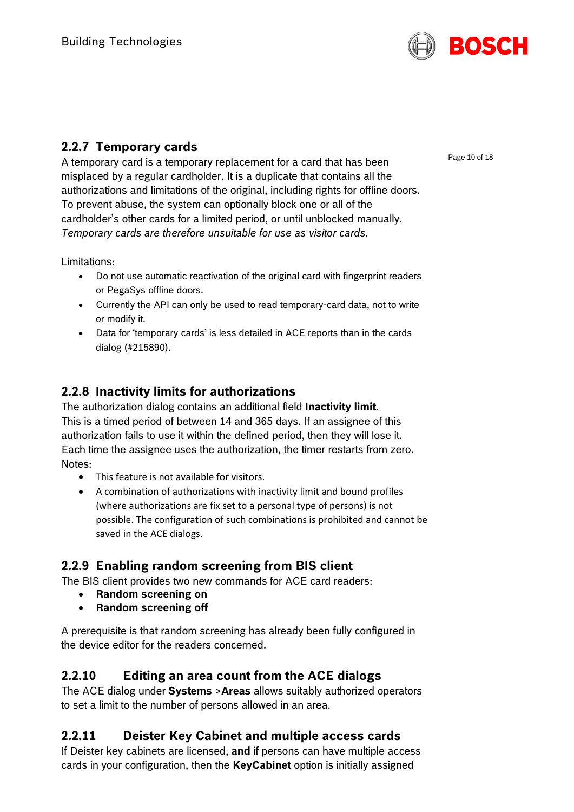

# **2.2.7 Temporary cards**

A temporary card is a temporary replacement for a card that has been misplaced by a regular cardholder. It is a duplicate that contains all the authorizations and limitations of the original, including rights for offline doors. To prevent abuse, the system can optionally block one or all of the cardholder's other cards for a limited period, or until unblocked manually. *Temporary cards are therefore unsuitable for use as visitor cards.*

Limitations:

- Do not use automatic reactivation of the original card with fingerprint readers or PegaSys offline doors.
- Currently the API can only be used to read temporary-card data, not to write or modify it.
- Data for 'temporary cards' is less detailed in ACE reports than in the cards dialog (#215890).

# **2.2.8 Inactivity limits for authorizations**

The authorization dialog contains an additional field **Inactivity limit**. This is a timed period of between 14 and 365 days. If an assignee of this authorization fails to use it within the defined period, then they will lose it. Each time the assignee uses the authorization, the timer restarts from zero. Notes:

- This feature is not available for visitors.
- A combination of authorizations with inactivity limit and bound profiles (where authorizations are fix set to a personal type of persons) is not possible. The configuration of such combinations is prohibited and cannot be saved in the ACE dialogs.

# **2.2.9 Enabling random screening from BIS client**

The BIS client provides two new commands for ACE card readers:

- **Random screening on**
- **Random screening off**

A prerequisite is that random screening has already been fully configured in the device editor for the readers concerned.

# **2.2.10 Editing an area count from the ACE dialogs**

The ACE dialog under **Systems** >**Areas** allows suitably authorized operators to set a limit to the number of persons allowed in an area.

# **2.2.11 Deister Key Cabinet and multiple access cards**

If Deister key cabinets are licensed, **and** if persons can have multiple access cards in your configuration, then the **KeyCabinet** option is initially assigned

Page 10 of 18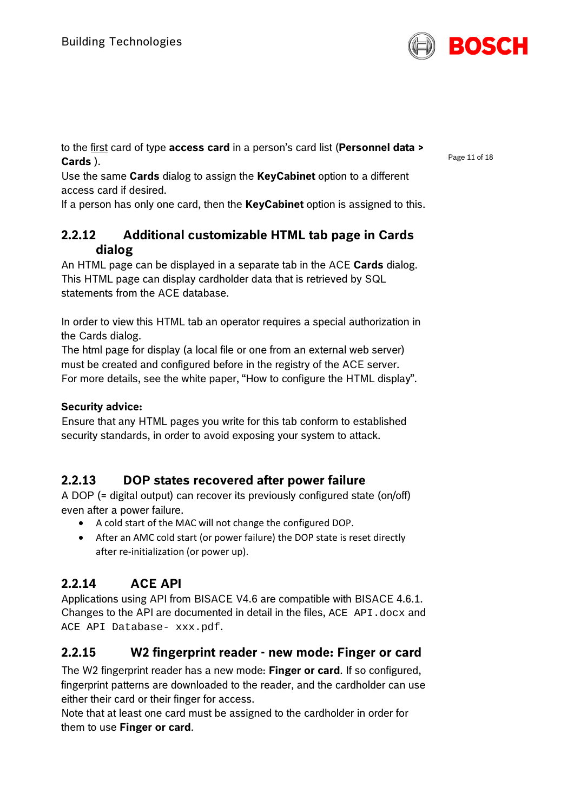

to the first card of type **access card** in a person's card list (**Personnel data > Cards** ).

Use the same **Cards** dialog to assign the **KeyCabinet** option to a different access card if desired.

If a person has only one card, then the **KeyCabinet** option is assigned to this.

# **2.2.12 Additional customizable HTML tab page in Cards dialog**

An HTML page can be displayed in a separate tab in the ACE **Cards** dialog. This HTML page can display cardholder data that is retrieved by SQL statements from the ACE database.

In order to view this HTML tab an operator requires a special authorization in the Cards dialog.

The html page for display (a local file or one from an external web server) must be created and configured before in the registry of the ACE server. For more details, see the white paper, "How to configure the HTML display".

### **Security advice:**

Ensure that any HTML pages you write for this tab conform to established security standards, in order to avoid exposing your system to attack.

# **2.2.13 DOP states recovered after power failure**

A DOP (= digital output) can recover its previously configured state (on/off) even after a power failure.

- A cold start of the MAC will not change the configured DOP.
- After an AMC cold start (or power failure) the DOP state is reset directly after re-initialization (or power up).

# **2.2.14 ACE API**

Applications using API from BISACE V4.6 are compatible with BISACE 4.6.1. Changes to the API are documented in detail in the files,  $ACE$   $API$ . docx and ACE API Database- xxx.pdf.

## **2.2.15 W2 fingerprint reader - new mode: Finger or card**

The W2 fingerprint reader has a new mode: **Finger or card**. If so configured, fingerprint patterns are downloaded to the reader, and the cardholder can use either their card or their finger for access.

Note that at least one card must be assigned to the cardholder in order for them to use **Finger or card**.

Page 11 of 18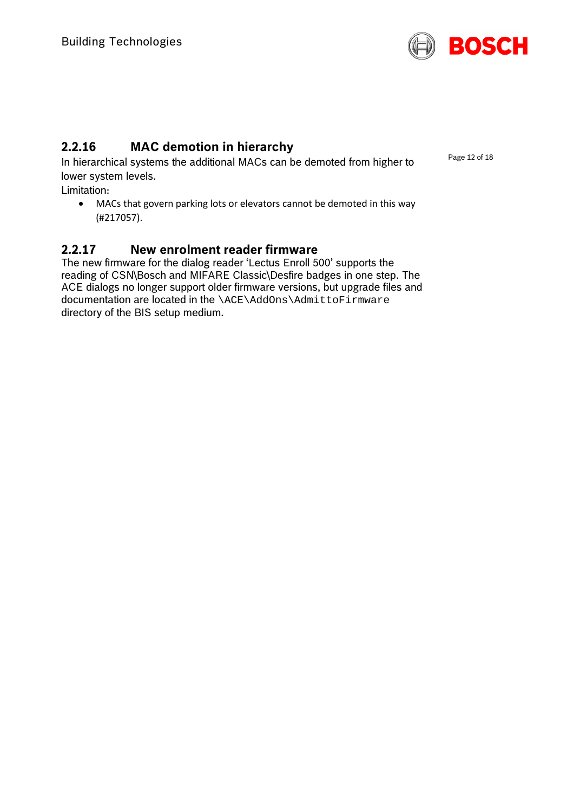

# **2.2.16 MAC demotion in hierarchy**

In hierarchical systems the additional MACs can be demoted from higher to lower system levels.

Limitation:

• MACs that govern parking lots or elevators cannot be demoted in this way (#217057).

# **2.2.17 New enrolment reader firmware**

The new firmware for the dialog reader 'Lectus Enroll 500' supports the reading of CSN\Bosch and MIFARE Classic\Desfire badges in one step. The ACE dialogs no longer support older firmware versions, but upgrade files and documentation are located in the \ACE\AddOns\AdmittoFirmware directory of the BIS setup medium.

Page 12 of 18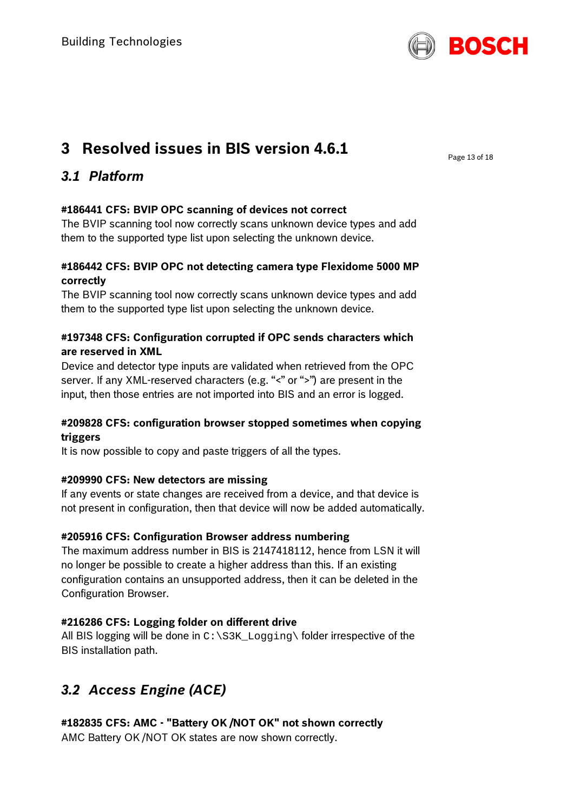

# <span id="page-12-0"></span>**3 Resolved issues in BIS version 4.6.1**

Page 13 of 18

# <span id="page-12-1"></span>*3.1 Platform*

### **#186441 CFS: BVIP OPC scanning of devices not correct**

The BVIP scanning tool now correctly scans unknown device types and add them to the supported type list upon selecting the unknown device.

### **#186442 CFS: BVIP OPC not detecting camera type Flexidome 5000 MP correctly**

The BVIP scanning tool now correctly scans unknown device types and add them to the supported type list upon selecting the unknown device.

### **#197348 CFS: Configuration corrupted if OPC sends characters which are reserved in XML**

Device and detector type inputs are validated when retrieved from the OPC server. If any XML-reserved characters (e.g. "<" or ">") are present in the input, then those entries are not imported into BIS and an error is logged.

### **#209828 CFS: configuration browser stopped sometimes when copying triggers**

It is now possible to copy and paste triggers of all the types.

### **#209990 CFS: New detectors are missing**

If any events or state changes are received from a device, and that device is not present in configuration, then that device will now be added automatically.

### **#205916 CFS: Configuration Browser address numbering**

The maximum address number in BIS is 2147418112, hence from LSN it will no longer be possible to create a higher address than this. If an existing configuration contains an unsupported address, then it can be deleted in the Configuration Browser.

## **#216286 CFS: Logging folder on different drive**

All BIS logging will be done in  $C:\S3K\_{\text{Logging}}\$  folder irrespective of the BIS installation path.

# <span id="page-12-2"></span>*3.2 Access Engine (ACE)*

# **#182835 CFS: AMC - "Battery OK /NOT OK" not shown correctly**

AMC Battery OK /NOT OK states are now shown correctly.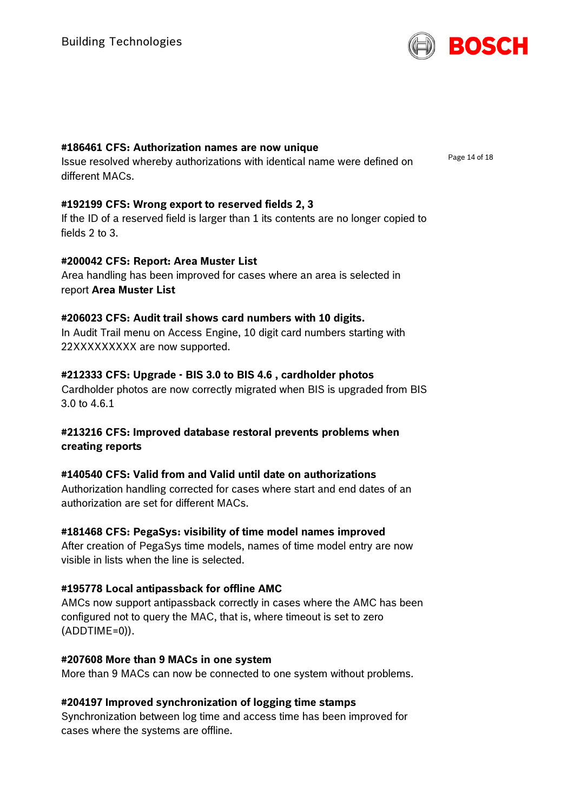

Page 14 of 18

#### **#186461 CFS: Authorization names are now unique**

Issue resolved whereby authorizations with identical name were defined on different MACs.

#### **#192199 CFS: Wrong export to reserved fields 2, 3**

If the ID of a reserved field is larger than 1 its contents are no longer copied to fields 2 to 3.

#### **#200042 CFS: Report: Area Muster List**

Area handling has been improved for cases where an area is selected in report **Area Muster List**

#### **#206023 CFS: Audit trail shows card numbers with 10 digits.**

In Audit Trail menu on Access Engine, 10 digit card numbers starting with 22XXXXXXXXX are now supported.

#### **#212333 CFS: Upgrade - BIS 3.0 to BIS 4.6 , cardholder photos**

Cardholder photos are now correctly migrated when BIS is upgraded from BIS 3.0 to 4.6.1

#### **#213216 CFS: Improved database restoral prevents problems when creating reports**

#### **#140540 CFS: Valid from and Valid until date on authorizations**

Authorization handling corrected for cases where start and end dates of an authorization are set for different MACs.

#### **#181468 CFS: PegaSys: visibility of time model names improved**

After creation of PegaSys time models, names of time model entry are now visible in lists when the line is selected.

#### **#195778 Local antipassback for offline AMC**

AMCs now support antipassback correctly in cases where the AMC has been configured not to query the MAC, that is, where timeout is set to zero (ADDTIME=0)).

#### **#207608 More than 9 MACs in one system**

More than 9 MACs can now be connected to one system without problems.

#### **#204197 Improved synchronization of logging time stamps**

Synchronization between log time and access time has been improved for cases where the systems are offline.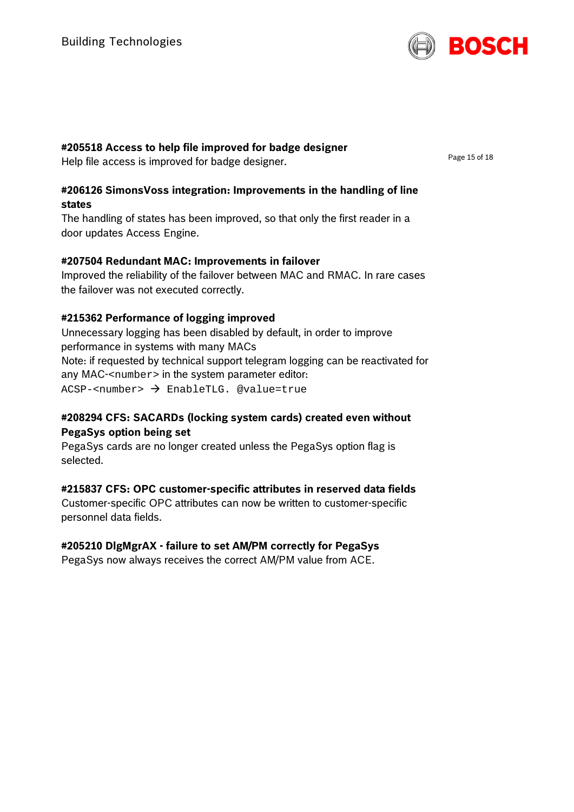

### **#205518 Access to help file improved for badge designer**

Help file access is improved for badge designer.

Page 15 of 18

#### **#206126 SimonsVoss integration: Improvements in the handling of line states**

The handling of states has been improved, so that only the first reader in a door updates Access Engine.

### **#207504 Redundant MAC: Improvements in failover**

Improved the reliability of the failover between MAC and RMAC. In rare cases the failover was not executed correctly.

### **#215362 Performance of logging improved**

Unnecessary logging has been disabled by default, in order to improve performance in systems with many MACs Note: if requested by technical support telegram logging can be reactivated for any MAC-<number> in the system parameter editor:  $ACSP$ -<number>  $\rightarrow$  EnableTLG. @value=true

### **#208294 CFS: SACARDs (locking system cards) created even without PegaSys option being set**

PegaSys cards are no longer created unless the PegaSys option flag is selected.

### **#215837 CFS: OPC customer-specific attributes in reserved data fields**

Customer-specific OPC attributes can now be written to customer-specific personnel data fields.

### **#205210 DlgMgrAX - failure to set AM/PM correctly for PegaSys**

PegaSys now always receives the correct AM/PM value from ACE.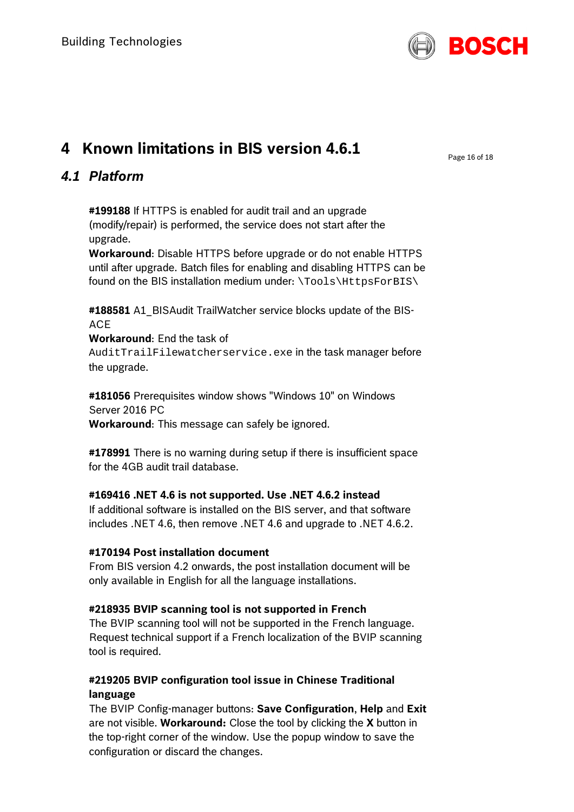

# <span id="page-15-0"></span>**4 Known limitations in BIS version 4.6.1**

Page 16 of 18

# <span id="page-15-1"></span>*4.1 Platform*

**#199188** If HTTPS is enabled for audit trail and an upgrade (modify/repair) is performed, the service does not start after the upgrade.

**Workaround**: Disable HTTPS before upgrade or do not enable HTTPS until after upgrade. Batch files for enabling and disabling HTTPS can be found on the BIS installation medium under: \Tools\HttpsForBIS\

#188581 A1 BISAudit TrailWatcher service blocks update of the BIS-ACE

**Workaround**: End the task of AuditTrailFilewatcherservice.exe in the task manager before the upgrade.

**#181056** Prerequisites window shows "Windows 10" on Windows Server 2016 PC **Workaround**: This message can safely be ignored.

**#178991** There is no warning during setup if there is insufficient space for the 4GB audit trail database.

### **#169416 .NET 4.6 is not supported. Use .NET 4.6.2 instead**

If additional software is installed on the BIS server, and that software includes .NET 4.6, then remove .NET 4.6 and upgrade to .NET 4.6.2.

### **#170194 Post installation document**

From BIS version 4.2 onwards, the post installation document will be only available in English for all the language installations.

### **#218935 BVIP scanning tool is not supported in French**

The BVIP scanning tool will not be supported in the French language. Request technical support if a French localization of the BVIP scanning tool is required.

### **#219205 BVIP configuration tool issue in Chinese Traditional language**

The BVIP Config-manager buttons: **Save Configuration**, **Help** and **Exit** are not visible. **Workaround:** Close the tool by clicking the **X** button in the top-right corner of the window. Use the popup window to save the configuration or discard the changes.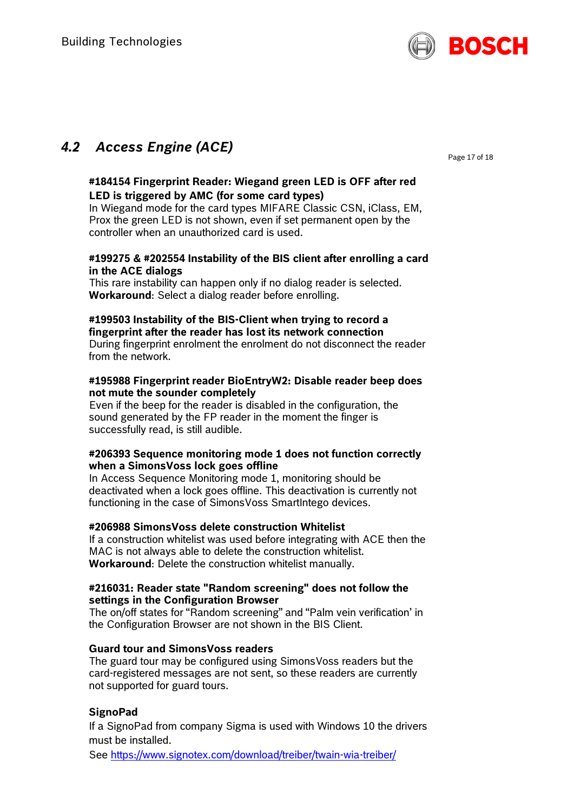

# <span id="page-16-0"></span>*4.2 Access Engine (ACE)*

Page 17 of 18

#### **#184154 Fingerprint Reader: Wiegand green LED is OFF after red LED is triggered by AMC (for some card types)**

In Wiegand mode for the card types MIFARE Classic CSN, iClass, EM, Prox the green LED is not shown, even if set permanent open by the controller when an unauthorized card is used.

#### **#199275 & #202554 Instability of the BIS client after enrolling a card in the ACE dialogs**

This rare instability can happen only if no dialog reader is selected. **Workaround**: Select a dialog reader before enrolling.

## **#199503 Instability of the BIS-Client when trying to record a fingerprint after the reader has lost its network connection**

During fingerprint enrolment the enrolment do not disconnect the reader from the network.

#### **#195988 Fingerprint reader BioEntryW2: Disable reader beep does not mute the sounder completely**

Even if the beep for the reader is disabled in the configuration, the sound generated by the FP reader in the moment the finger is successfully read, is still audible.

#### **#206393 Sequence monitoring mode 1 does not function correctly when a SimonsVoss lock goes offline**

In Access Sequence Monitoring mode 1, monitoring should be deactivated when a lock goes offline. This deactivation is currently not functioning in the case of SimonsVoss SmartIntego devices.

#### **#206988 SimonsVoss delete construction Whitelist**

If a construction whitelist was used before integrating with ACE then the MAC is not always able to delete the construction whitelist. **Workaround**: Delete the construction whitelist manually.

#### **#216031: Reader state "Random screening" does not follow the settings in the Configuration Browser**

The on/off states for "Random screening" and "Palm vein verification' in the Configuration Browser are not shown in the BIS Client.

#### **Guard tour and SimonsVoss readers**

The guard tour may be configured using SimonsVoss readers but the card-registered messages are not sent, so these readers are currently not supported for guard tours.

#### **SignoPad**

If a SignoPad from company Sigma is used with Windows 10 the drivers must be installed.

See<https://www.signotex.com/download/treiber/twain-wia-treiber/>